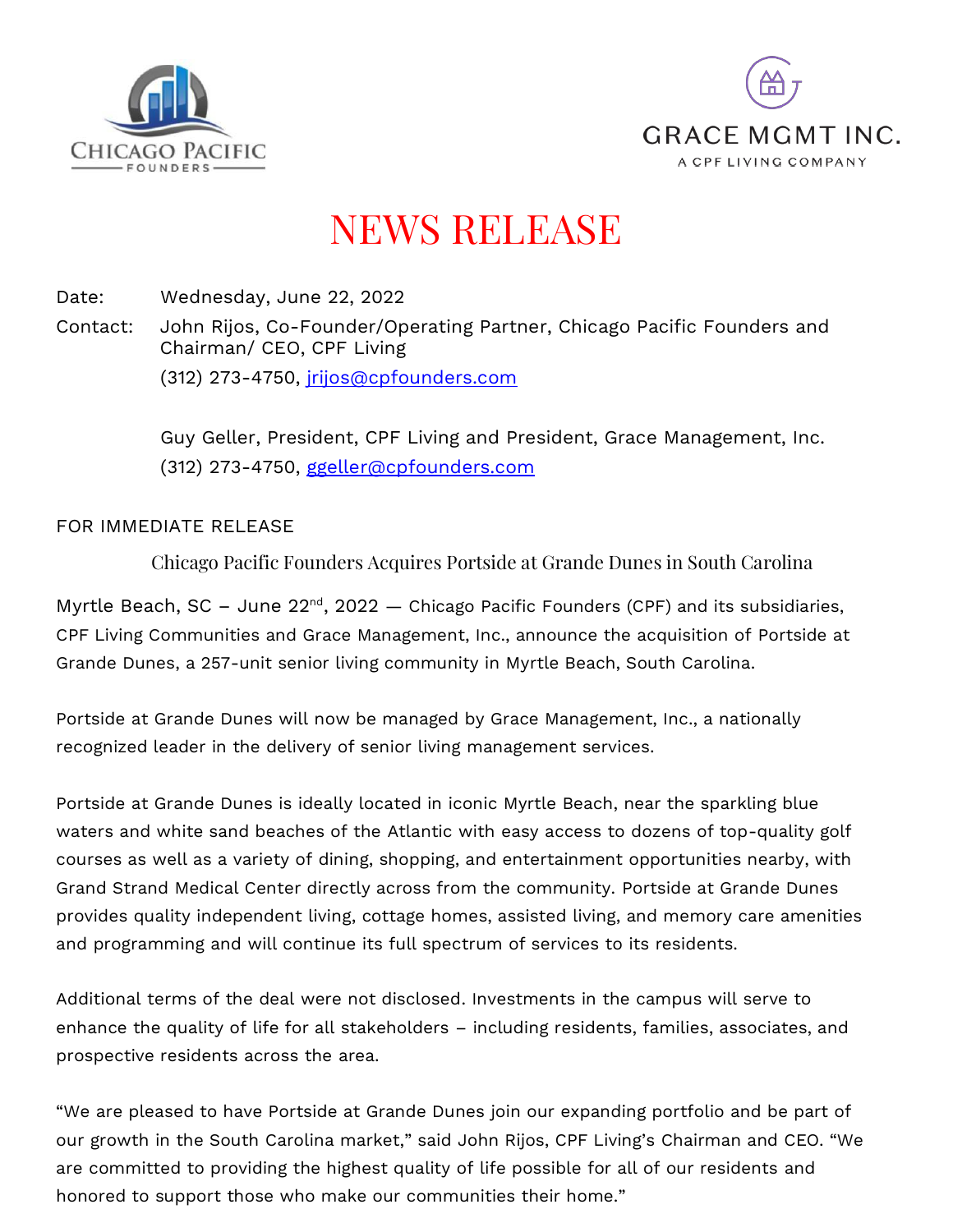



## NEWS RELEASE

Date: Wednesday, June 22, 2022

Contact: John Rijos, Co-Founder/Operating Partner, Chicago Pacific Founders and Chairman/ CEO, CPF Living (312) 273-4750, [jrijos@cpfounders.com](mailto:jrijos@cpfounders.com)

> Guy Geller, President, CPF Living and President, Grace Management, Inc. (312) 273-4750, [ggeller@cpfounders.com](mailto:ggeller@cpfounders.com)

## FOR IMMEDIATE RELEASE

Chicago Pacific Founders Acquires Portside at Grande Dunes in South Carolina

Myrtle Beach, SC – June  $22^{\text{nd}}$ , 2022  $-$  Chicago Pacific Founders (CPF) and its subsidiaries, CPF Living Communities and Grace Management, Inc., announce the acquisition of Portside at Grande Dunes, a 257-unit senior living community in Myrtle Beach, South Carolina.

Portside at Grande Dunes will now be managed by Grace Management, Inc., a nationally recognized leader in the delivery of senior living management services.

Portside at Grande Dunes is ideally located in iconic Myrtle Beach, near the sparkling blue waters and white sand beaches of the Atlantic with easy access to dozens of top-quality golf courses as well as a variety of dining, shopping, and entertainment opportunities nearby, with Grand Strand Medical Center directly across from the community. Portside at Grande Dunes provides quality independent living, cottage homes, assisted living, and memory care amenities and programming and will continue its full spectrum of services to its residents.

Additional terms of the deal were not disclosed. Investments in the campus will serve to enhance the quality of life for all stakeholders – including residents, families, associates, and prospective residents across the area.

"We are pleased to have Portside at Grande Dunes join our expanding portfolio and be part of our growth in the South Carolina market," said John Rijos, CPF Living's Chairman and CEO. "We are committed to providing the highest quality of life possible for all of our residents and honored to support those who make our communities their home."